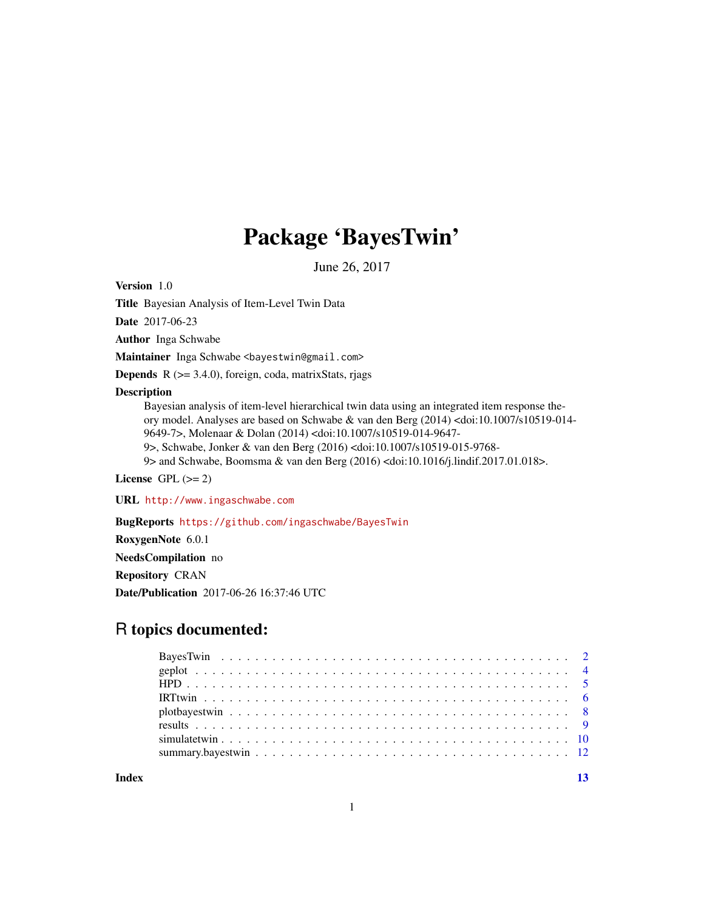# Package 'BayesTwin'

June 26, 2017

Version 1.0

Title Bayesian Analysis of Item-Level Twin Data

Date 2017-06-23

Author Inga Schwabe

Maintainer Inga Schwabe <br/>bayestwin@gmail.com>

**Depends**  $R$  ( $>=$  3.4.0), foreign, coda, matrixStats, rjags

# Description

Bayesian analysis of item-level hierarchical twin data using an integrated item response theory model. Analyses are based on Schwabe & van den Berg (2014) <doi:10.1007/s10519-014- 9649-7>, Molenaar & Dolan (2014) <doi:10.1007/s10519-014-9647- 9>, Schwabe, Jonker & van den Berg (2016) <doi:10.1007/s10519-015-9768- 9> and Schwabe, Boomsma & van den Berg (2016) <doi:10.1016/j.lindif.2017.01.018>.

License GPL  $(>= 2)$ 

URL <http://www.ingaschwabe.com>

BugReports <https://github.com/ingaschwabe/BayesTwin>

RoxygenNote 6.0.1

NeedsCompilation no

Repository CRAN

Date/Publication 2017-06-26 16:37:46 UTC

# R topics documented:

**Index** [13](#page-12-0)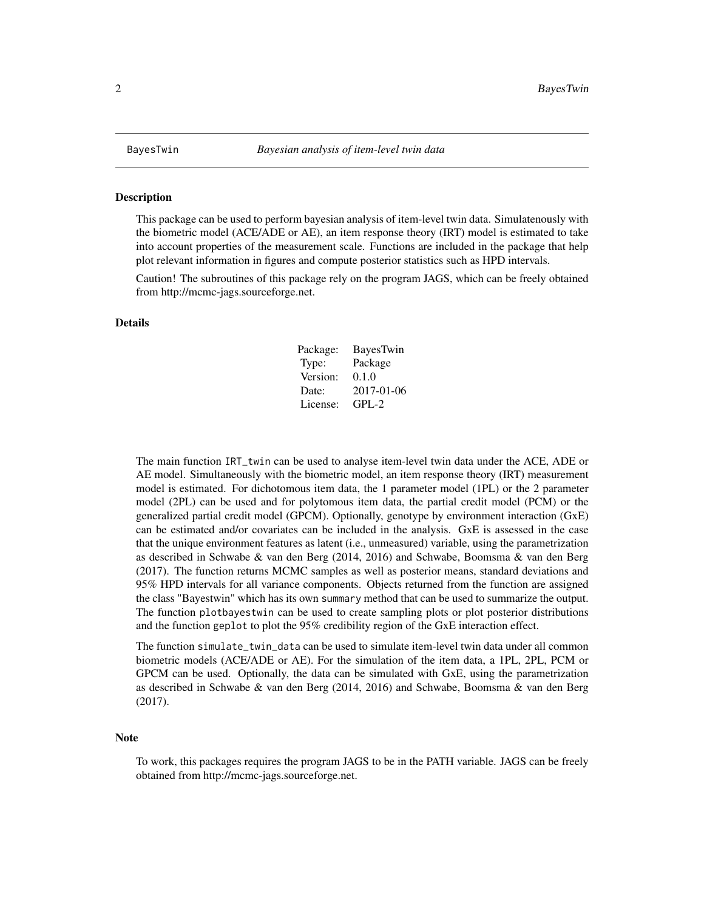<span id="page-1-0"></span>

#### Description

This package can be used to perform bayesian analysis of item-level twin data. Simulatenously with the biometric model (ACE/ADE or AE), an item response theory (IRT) model is estimated to take into account properties of the measurement scale. Functions are included in the package that help plot relevant information in figures and compute posterior statistics such as HPD intervals.

Caution! The subroutines of this package rely on the program JAGS, which can be freely obtained from http://mcmc-jags.sourceforge.net.

## Details

| Package: | <b>BayesTwin</b> |
|----------|------------------|
| Type:    | Package          |
| Version: | 0.1.0            |
| Date:    | 2017-01-06       |
| License: | $GPL-2$          |

The main function IRT\_twin can be used to analyse item-level twin data under the ACE, ADE or AE model. Simultaneously with the biometric model, an item response theory (IRT) measurement model is estimated. For dichotomous item data, the 1 parameter model (1PL) or the 2 parameter model (2PL) can be used and for polytomous item data, the partial credit model (PCM) or the generalized partial credit model (GPCM). Optionally, genotype by environment interaction (GxE) can be estimated and/or covariates can be included in the analysis. GxE is assessed in the case that the unique environment features as latent (i.e., unmeasured) variable, using the parametrization as described in Schwabe & van den Berg (2014, 2016) and Schwabe, Boomsma & van den Berg (2017). The function returns MCMC samples as well as posterior means, standard deviations and 95% HPD intervals for all variance components. Objects returned from the function are assigned the class "Bayestwin" which has its own summary method that can be used to summarize the output. The function plotbayestwin can be used to create sampling plots or plot posterior distributions and the function geplot to plot the 95% credibility region of the GxE interaction effect.

The function simulate\_twin\_data can be used to simulate item-level twin data under all common biometric models (ACE/ADE or AE). For the simulation of the item data, a 1PL, 2PL, PCM or GPCM can be used. Optionally, the data can be simulated with GxE, using the parametrization as described in Schwabe & van den Berg (2014, 2016) and Schwabe, Boomsma & van den Berg (2017).

### **Note**

To work, this packages requires the program JAGS to be in the PATH variable. JAGS can be freely obtained from http://mcmc-jags.sourceforge.net.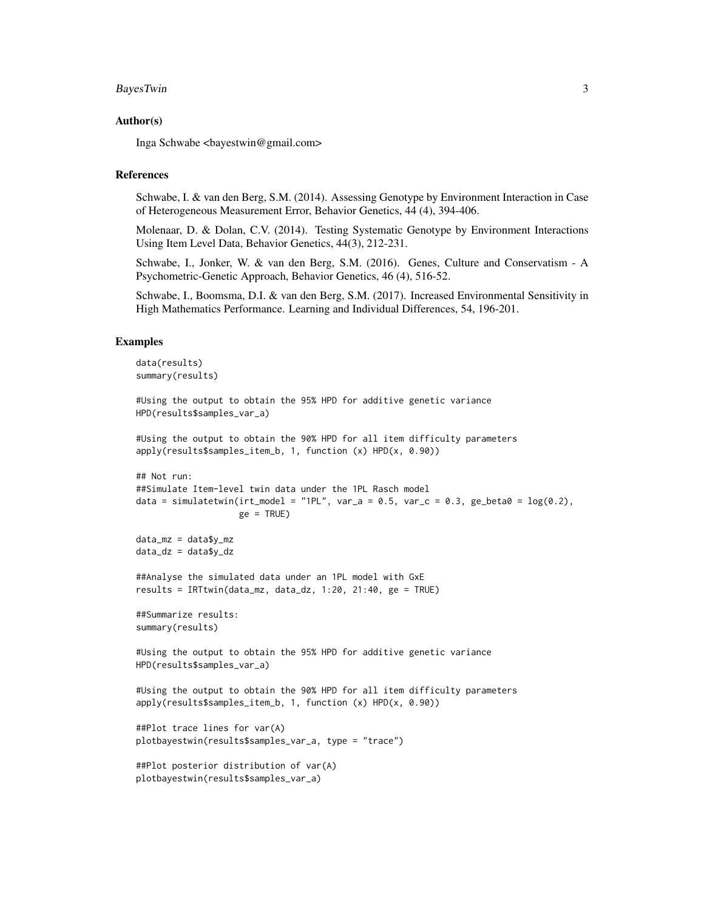#### BayesTwin 3

### Author(s)

Inga Schwabe <bayestwin@gmail.com>

## References

Schwabe, I. & van den Berg, S.M. (2014). Assessing Genotype by Environment Interaction in Case of Heterogeneous Measurement Error, Behavior Genetics, 44 (4), 394-406.

Molenaar, D. & Dolan, C.V. (2014). Testing Systematic Genotype by Environment Interactions Using Item Level Data, Behavior Genetics, 44(3), 212-231.

Schwabe, I., Jonker, W. & van den Berg, S.M. (2016). Genes, Culture and Conservatism - A Psychometric-Genetic Approach, Behavior Genetics, 46 (4), 516-52.

Schwabe, I., Boomsma, D.I. & van den Berg, S.M. (2017). Increased Environmental Sensitivity in High Mathematics Performance. Learning and Individual Differences, 54, 196-201.

## Examples

```
data(results)
summary(results)
#Using the output to obtain the 95% HPD for additive genetic variance
HPD(results$samples_var_a)
#Using the output to obtain the 90% HPD for all item difficulty parameters
apply(results$samples_item_b, 1, function (x) HPD(x, 0.90))
## Not run:
##Simulate Item-level twin data under the 1PL Rasch model
data = simulatetwin(irt_model = "1PL", var_a = 0.5, var_c = 0.3, ge_beta0 = log(0.2),
                    ge = TRUE)
data_mz = data\v_mz
data_dz = data$y_dz
##Analyse the simulated data under an 1PL model with GxE
results = IRTtwin(data_mz, data_dz, 1:20, 21:40, ge = TRUE)
##Summarize results:
summary(results)
#Using the output to obtain the 95% HPD for additive genetic variance
HPD(results$samples_var_a)
#Using the output to obtain the 90% HPD for all item difficulty parameters
apply(results$samples_item_b, 1, function (x) HPD(x, 0.90))
##Plot trace lines for var(A)
plotbayestwin(results$samples_var_a, type = "trace")
##Plot posterior distribution of var(A)
plotbayestwin(results$samples_var_a)
```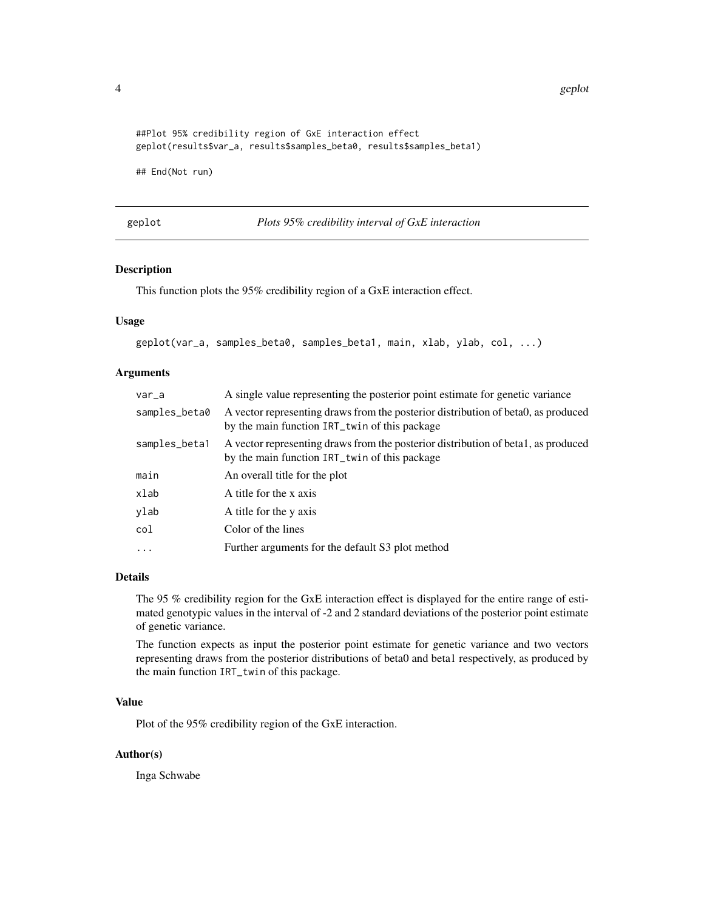4 geplot that the set of the set of the set of the set of the set of the set of the set of the set of the set of the set of the set of the set of the set of the set of the set of the set of the set of the set of the set of

```
##Plot 95% credibility region of GxE interaction effect
geplot(results$var_a, results$samples_beta0, results$samples_beta1)
```
## End(Not run)

geplot *Plots 95% credibility interval of GxE interaction*

## Description

This function plots the 95% credibility region of a GxE interaction effect.

# Usage

geplot(var\_a, samples\_beta0, samples\_beta1, main, xlab, ylab, col, ...)

## Arguments

| $var_a$       | A single value representing the posterior point estimate for genetic variance                                                      |
|---------------|------------------------------------------------------------------------------------------------------------------------------------|
| samples_beta0 | A vector representing draws from the posterior distribution of beta0, as produced<br>by the main function IRT_twin of this package |
| samples_beta1 | A vector representing draws from the posterior distribution of beta1, as produced<br>by the main function IRT_twin of this package |
| main          | An overall title for the plot                                                                                                      |
| xlab          | A title for the x axis                                                                                                             |
| ylab          | A title for the y axis                                                                                                             |
| col           | Color of the lines                                                                                                                 |
| $\cdots$      | Further arguments for the default S3 plot method                                                                                   |

## Details

The 95 % credibility region for the GxE interaction effect is displayed for the entire range of estimated genotypic values in the interval of -2 and 2 standard deviations of the posterior point estimate of genetic variance.

The function expects as input the posterior point estimate for genetic variance and two vectors representing draws from the posterior distributions of beta0 and beta1 respectively, as produced by the main function IRT\_twin of this package.

## Value

Plot of the 95% credibility region of the GxE interaction.

## Author(s)

Inga Schwabe

<span id="page-3-0"></span>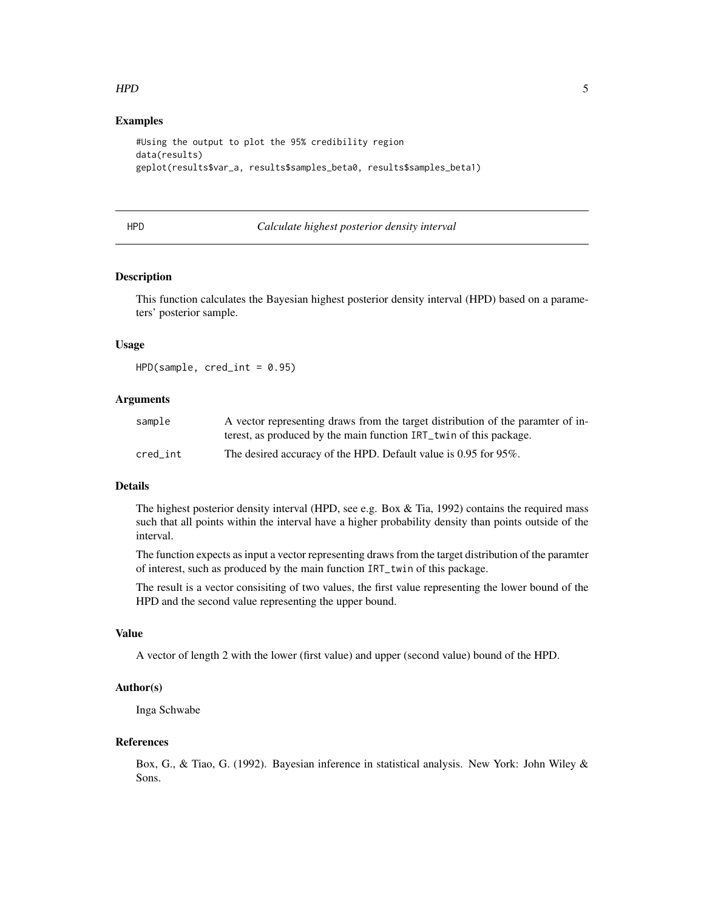## <span id="page-4-0"></span> $HPD$  5

## Examples

```
#Using the output to plot the 95% credibility region
data(results)
geplot(results$var_a, results$samples_beta0, results$samples_beta1)
```
## HPD *Calculate highest posterior density interval*

## Description

This function calculates the Bayesian highest posterior density interval (HPD) based on a parameters' posterior sample.

#### Usage

 $HPD(sample, credit = 0.95)$ 

## Arguments

| sample   | A vector representing draws from the target distribution of the paramter of in- |
|----------|---------------------------------------------------------------------------------|
|          | terest, as produced by the main function IRT_twin of this package.              |
| cred int | The desired accuracy of the HPD. Default value is 0.95 for 95%.                 |

## Details

The highest posterior density interval (HPD, see e.g. Box  $&$  Tia, 1992) contains the required mass such that all points within the interval have a higher probability density than points outside of the interval.

The function expects as input a vector representing draws from the target distribution of the paramter of interest, such as produced by the main function IRT\_twin of this package.

The result is a vector consisiting of two values, the first value representing the lower bound of the HPD and the second value representing the upper bound.

# Value

A vector of length 2 with the lower (first value) and upper (second value) bound of the HPD.

## Author(s)

Inga Schwabe

## References

Box, G., & Tiao, G. (1992). Bayesian inference in statistical analysis. New York: John Wiley & Sons.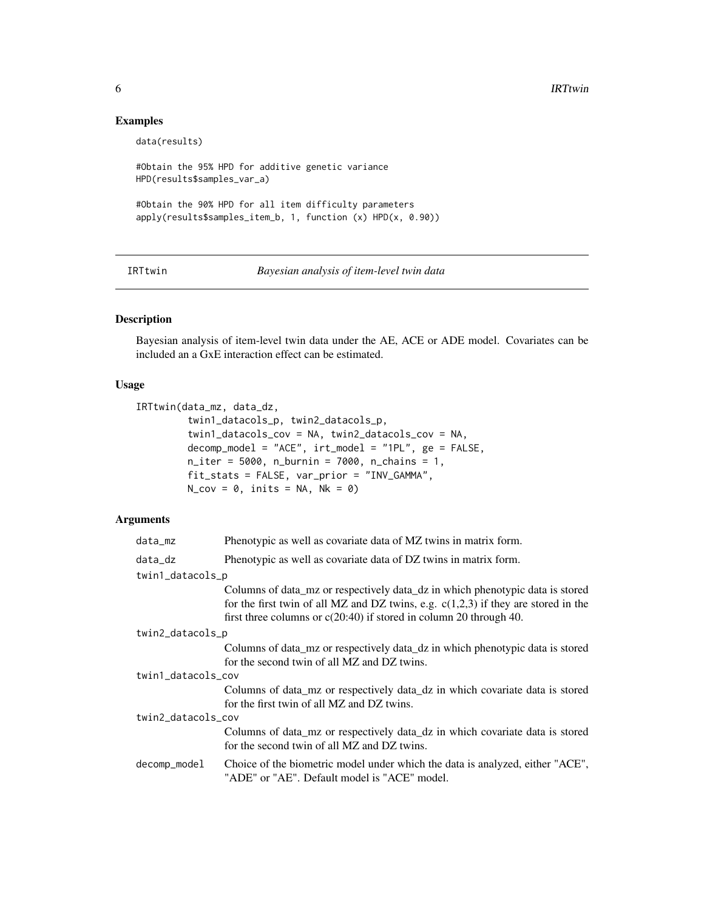# Examples

```
data(results)
#Obtain the 95% HPD for additive genetic variance
HPD(results$samples_var_a)
#Obtain the 90% HPD for all item difficulty parameters
apply(results$samples_item_b, 1, function (x) HPD(x, 0.90))
```
IRTtwin *Bayesian analysis of item-level twin data*

# Description

Bayesian analysis of item-level twin data under the AE, ACE or ADE model. Covariates can be included an a GxE interaction effect can be estimated.

# Usage

```
IRTtwin(data_mz, data_dz,
         twin1_datacols_p, twin2_datacols_p,
         twin1_datacols_cov = NA, twin2_datacols_cov = NA,
         decomp_model = "ACE", irt_model = "1PL", ge = FALSE,
         n_iter = 5000, n_burnin = 7000, n_chains = 1,
         fit_stats = FALSE, var_prior = "INV_GAMMA",
         N_{\text{cov}} = 0, inits = NA, Nk = 0)
```
# Arguments

| data_mz            | Phenotypic as well as covariate data of MZ twins in matrix form.                                                                                                                                                                              |
|--------------------|-----------------------------------------------------------------------------------------------------------------------------------------------------------------------------------------------------------------------------------------------|
| data_dz            | Phenotypic as well as covariate data of DZ twins in matrix form.                                                                                                                                                                              |
| twin1_datacols_p   |                                                                                                                                                                                                                                               |
|                    | Columns of data mz or respectively data dz in which phenotypic data is stored<br>for the first twin of all MZ and DZ twins, e.g. $c(1,2,3)$ if they are stored in the<br>first three columns or $c(20:40)$ if stored in column 20 through 40. |
| twin2_datacols_p   |                                                                                                                                                                                                                                               |
|                    | Columns of data_mz or respectively data_dz in which phenotypic data is stored<br>for the second twin of all MZ and DZ twins.                                                                                                                  |
| twin1_datacols_cov |                                                                                                                                                                                                                                               |
|                    | Columns of data_mz or respectively data_dz in which covariate data is stored<br>for the first twin of all MZ and DZ twins.                                                                                                                    |
| twin2_datacols_cov |                                                                                                                                                                                                                                               |
|                    | Columns of data mz or respectively data dz in which covariate data is stored<br>for the second twin of all MZ and DZ twins.                                                                                                                   |
| decomp_model       | Choice of the biometric model under which the data is analyzed, either "ACE",<br>"ADE" or "AE". Default model is "ACE" model.                                                                                                                 |

<span id="page-5-0"></span>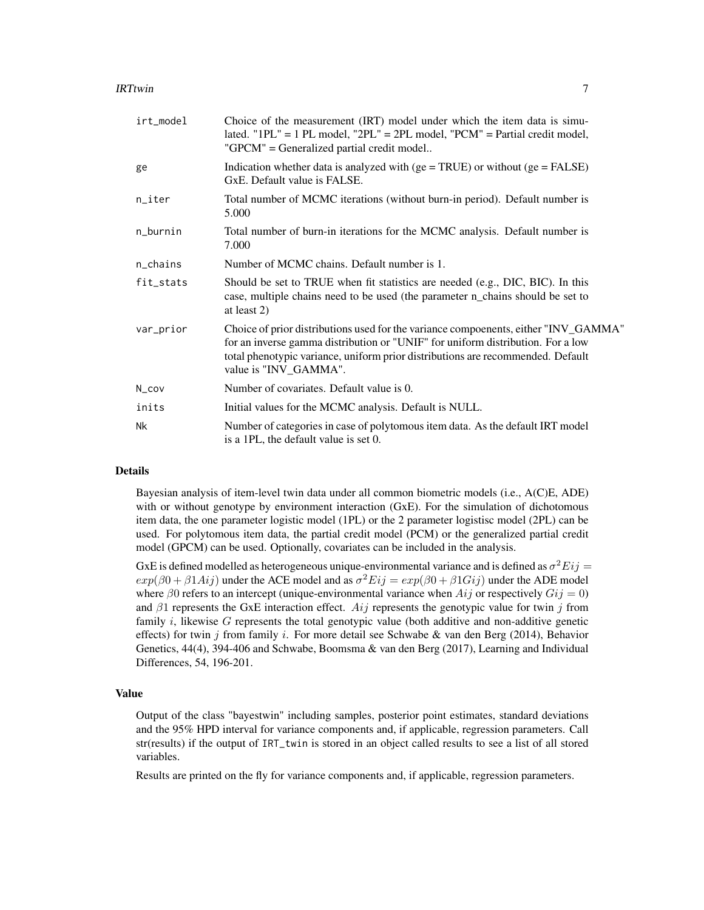| irt_model | Choice of the measurement (IRT) model under which the item data is simu-<br>lated. " $1PL$ " = 1 PL model, " $2PL$ " = $2PL$ model, " $PCM$ " = Partial credit model,<br>"GPCM" = Generalized partial credit model                                                                 |
|-----------|------------------------------------------------------------------------------------------------------------------------------------------------------------------------------------------------------------------------------------------------------------------------------------|
| ge        | Indication whether data is analyzed with $(ge = TRUE)$ or without $(ge = FALSE)$<br>GxE. Default value is FALSE.                                                                                                                                                                   |
| n_iter    | Total number of MCMC iterations (without burn-in period). Default number is<br>5.000                                                                                                                                                                                               |
| n_burnin  | Total number of burn-in iterations for the MCMC analysis. Default number is<br>7.000                                                                                                                                                                                               |
| n_chains  | Number of MCMC chains. Default number is 1.                                                                                                                                                                                                                                        |
| fit_stats | Should be set to TRUE when fit statistics are needed (e.g., DIC, BIC). In this<br>case, multiple chains need to be used (the parameter n_chains should be set to<br>at least 2)                                                                                                    |
| var_prior | Choice of prior distributions used for the variance compoenents, either "INV_GAMMA"<br>for an inverse gamma distribution or "UNIF" for uniform distribution. For a low<br>total phenotypic variance, uniform prior distributions are recommended. Default<br>value is "INV_GAMMA". |
| N_cov     | Number of covariates. Default value is 0.                                                                                                                                                                                                                                          |
| inits     | Initial values for the MCMC analysis. Default is NULL.                                                                                                                                                                                                                             |
| Nk        | Number of categories in case of polytomous item data. As the default IRT model<br>is a 1PL, the default value is set 0.                                                                                                                                                            |

## Details

Bayesian analysis of item-level twin data under all common biometric models (i.e., A(C)E, ADE) with or without genotype by environment interaction (GxE). For the simulation of dichotomous item data, the one parameter logistic model (1PL) or the 2 parameter logistisc model (2PL) can be used. For polytomous item data, the partial credit model (PCM) or the generalized partial credit model (GPCM) can be used. Optionally, covariates can be included in the analysis.

GxE is defined modelled as heterogeneous unique-environmental variance and is defined as  $\sigma^2 E ij =$  $exp(\beta 0 + \beta 1 Aij)$  under the ACE model and as  $\sigma^2 Eij = exp(\beta 0 + \beta 1 Gij)$  under the ADE model where  $\beta$ 0 refers to an intercept (unique-environmental variance when  $Aij$  or respectively  $Gij = 0$ ) and  $\beta$ 1 represents the GxE interaction effect. Aij represents the genotypic value for twin j from family i, likewise  $G$  represents the total genotypic value (both additive and non-additive genetic effects) for twin j from family i. For more detail see Schwabe & van den Berg (2014), Behavior Genetics, 44(4), 394-406 and Schwabe, Boomsma & van den Berg (2017), Learning and Individual Differences, 54, 196-201.

#### Value

Output of the class "bayestwin" including samples, posterior point estimates, standard deviations and the 95% HPD interval for variance components and, if applicable, regression parameters. Call str(results) if the output of IRT\_twin is stored in an object called results to see a list of all stored variables.

Results are printed on the fly for variance components and, if applicable, regression parameters.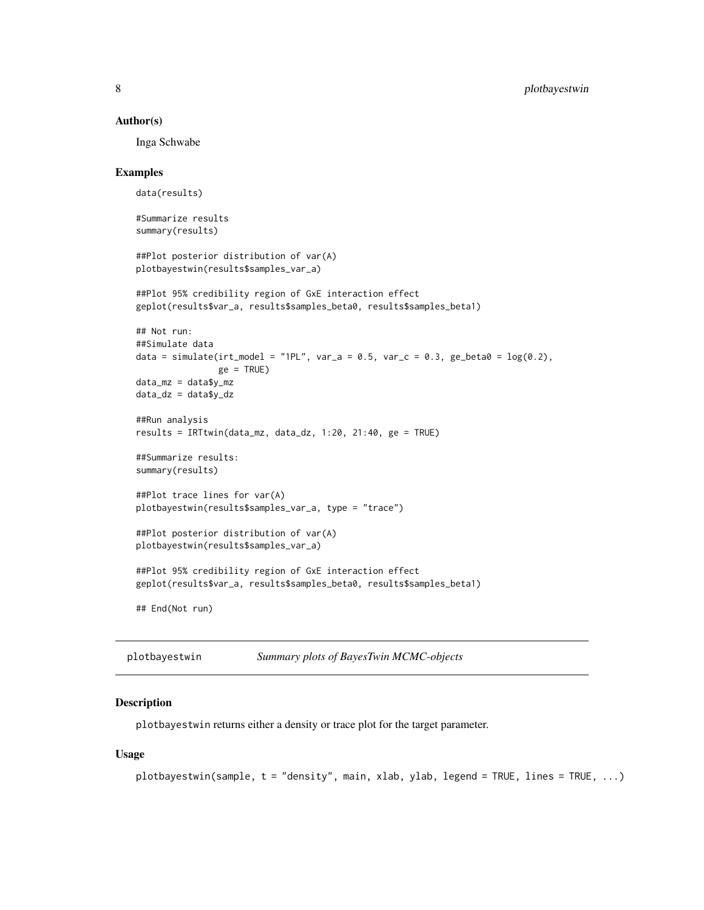#### <span id="page-7-0"></span>Author(s)

Inga Schwabe

## Examples

data(results)

```
#Summarize results
summary(results)
##Plot posterior distribution of var(A)
plotbayestwin(results$samples_var_a)
##Plot 95% credibility region of GxE interaction effect
geplot(results$var_a, results$samples_beta0, results$samples_beta1)
## Not run:
##Simulate data
data = simulate(irt_model = "1PL", var_a = 0.5, var_c = 0.3, ge_beta0 = log(0.2),
                ge = TRUE)
data_mz = data$y_mz
data_dz = data$y_dz
##Run analysis
results = IRTtwin(data_mz, data_dz, 1:20, 21:40, ge = TRUE)
##Summarize results:
summary(results)
##Plot trace lines for var(A)
plotbayestwin(results$samples_var_a, type = "trace")
##Plot posterior distribution of var(A)
plotbayestwin(results$samples_var_a)
##Plot 95% credibility region of GxE interaction effect
geplot(results$var_a, results$samples_beta0, results$samples_beta1)
## End(Not run)
```
plotbayestwin *Summary plots of BayesTwin MCMC-objects*

## **Description**

plotbayestwin returns either a density or trace plot for the target parameter.

#### Usage

```
plotbayestwin(sample, t = "density", main, xlab, ylab, legend = TRUE, lines = TRUE, ...)
```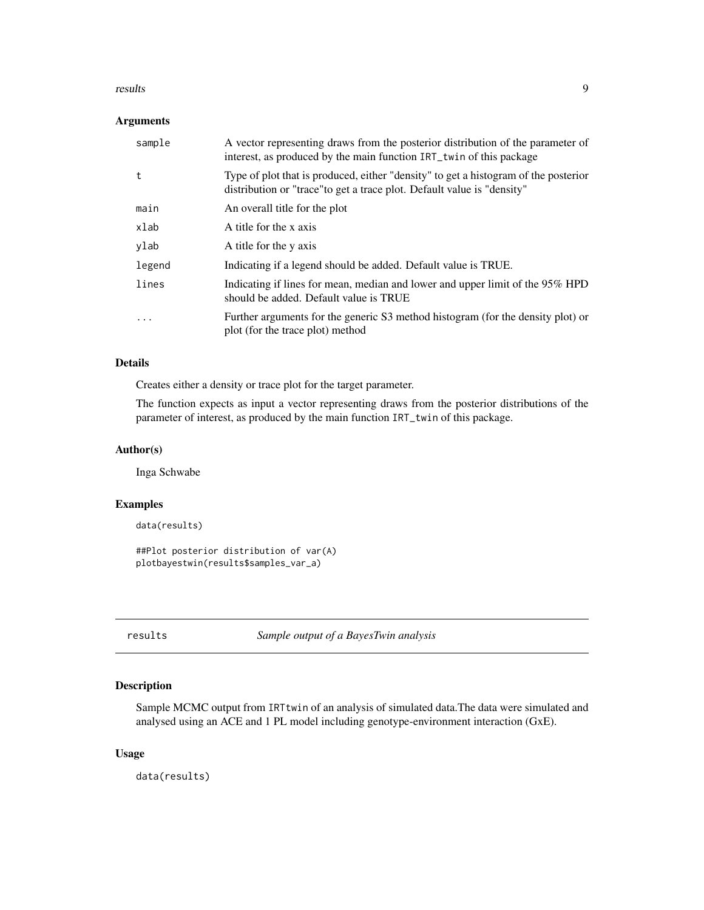#### <span id="page-8-0"></span>results and the contract of the contract of the contract of the contract of the contract of the contract of the contract of the contract of the contract of the contract of the contract of the contract of the contract of th

## Arguments

| sample | A vector representing draws from the posterior distribution of the parameter of<br>interest, as produced by the main function IRT_twin of this package         |
|--------|----------------------------------------------------------------------------------------------------------------------------------------------------------------|
| t      | Type of plot that is produced, either "density" to get a histogram of the posterior<br>distribution or "trace" to get a trace plot. Default value is "density" |
| main   | An overall title for the plot                                                                                                                                  |
| xlab   | A title for the x axis                                                                                                                                         |
| ylab   | A title for the y axis                                                                                                                                         |
| legend | Indicating if a legend should be added. Default value is TRUE.                                                                                                 |
| lines  | Indicating if lines for mean, median and lower and upper limit of the 95% HPD<br>should be added. Default value is TRUE                                        |
| .      | Further arguments for the generic S3 method histogram (for the density plot) or<br>plot (for the trace plot) method                                            |

# Details

Creates either a density or trace plot for the target parameter.

The function expects as input a vector representing draws from the posterior distributions of the parameter of interest, as produced by the main function IRT\_twin of this package.

# Author(s)

Inga Schwabe

## Examples

```
data(results)
```

```
##Plot posterior distribution of var(A)
plotbayestwin(results$samples_var_a)
```
results *Sample output of a BayesTwin analysis*

# Description

Sample MCMC output from IRTtwin of an analysis of simulated data.The data were simulated and analysed using an ACE and 1 PL model including genotype-environment interaction (GxE).

# Usage

data(results)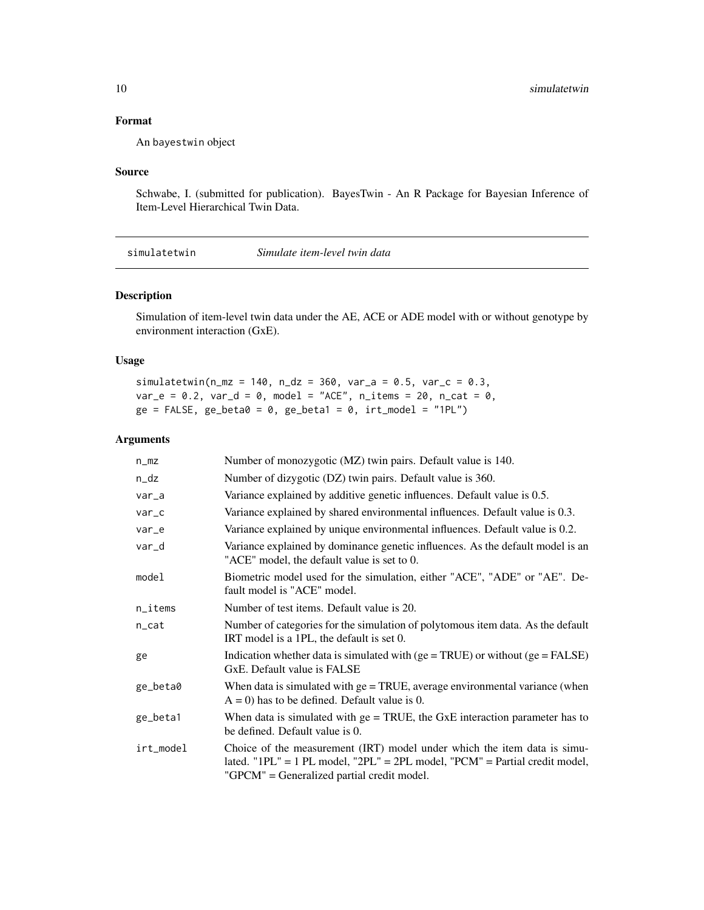# <span id="page-9-0"></span>Format

An bayestwin object

## Source

Schwabe, I. (submitted for publication). BayesTwin - An R Package for Bayesian Inference of Item-Level Hierarchical Twin Data.

simulatetwin *Simulate item-level twin data*

# Description

Simulation of item-level twin data under the AE, ACE or ADE model with or without genotype by environment interaction (GxE).

# Usage

simulatetwin(n\_mz = 140, n\_dz = 360, var\_a = 0.5, var\_c = 0.3,  $var_e = 0.2$ ,  $var_d = 0$ , model = "ACE", n\_items = 20, n\_cat = 0,  $ge = FALSE, ge\_beta0 = 0, ge\_beta1 = 0,irt\_model = "1PL")$ 

## Arguments

| $n_m$     | Number of monozygotic (MZ) twin pairs. Default value is 140.                                                                                                                                          |
|-----------|-------------------------------------------------------------------------------------------------------------------------------------------------------------------------------------------------------|
| n_dz      | Number of dizygotic (DZ) twin pairs. Default value is 360.                                                                                                                                            |
| $var_a$   | Variance explained by additive genetic influences. Default value is 0.5.                                                                                                                              |
| var_c     | Variance explained by shared environmental influences. Default value is 0.3.                                                                                                                          |
| var_e     | Variance explained by unique environmental influences. Default value is 0.2.                                                                                                                          |
| var_d     | Variance explained by dominance genetic influences. As the default model is an<br>"ACE" model, the default value is set to 0.                                                                         |
| model     | Biometric model used for the simulation, either "ACE", "ADE" or "AE". De-<br>fault model is "ACE" model.                                                                                              |
| n_items   | Number of test items. Default value is 20.                                                                                                                                                            |
| n_cat     | Number of categories for the simulation of polytomous item data. As the default<br>IRT model is a 1PL, the default is set 0.                                                                          |
| ge        | Indication whether data is simulated with $(ge = TRUE)$ or without $(ge = FALSE)$<br>GxE. Default value is FALSE                                                                                      |
| ge_beta0  | When data is simulated with $ge = TRUE$ , average environmental variance (when<br>$A = 0$ ) has to be defined. Default value is 0.                                                                    |
| ge_beta1  | When data is simulated with $ge = TRUE$ , the GxE interaction parameter has to<br>be defined. Default value is 0.                                                                                     |
| irt_model | Choice of the measurement (IRT) model under which the item data is simu-<br>lated. "1PL" = 1 PL model, "2PL" = 2PL model, "PCM" = Partial credit model,<br>"GPCM" = Generalized partial credit model. |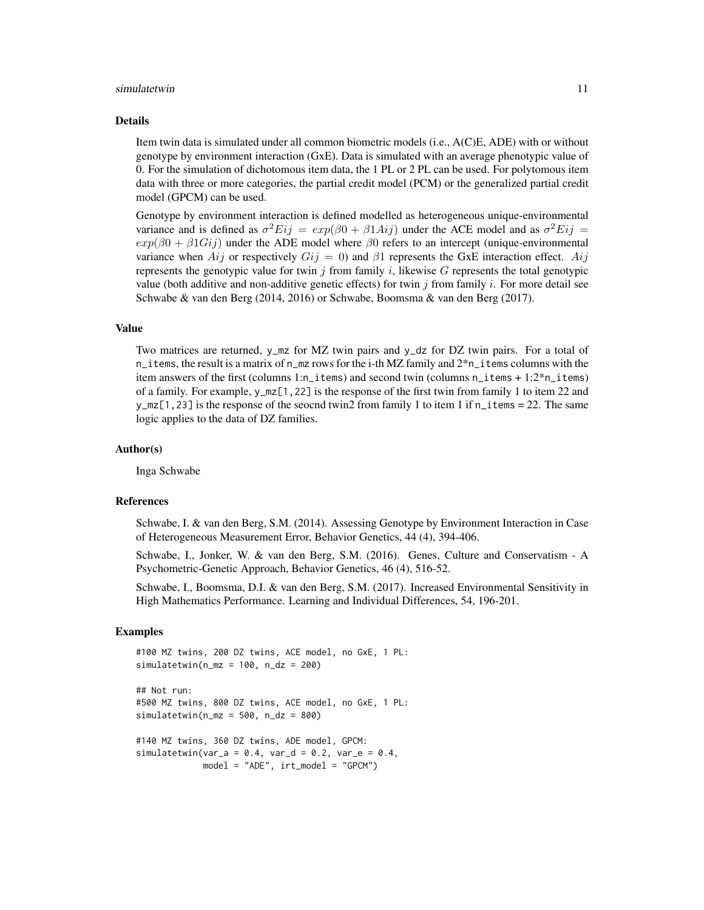#### simulatetwin 2008 and the set of the set of the set of the set of the set of the set of the set of the set of the set of the set of the set of the set of the set of the set of the set of the set of the set of the set of th

#### Details

Item twin data is simulated under all common biometric models (i.e., A(C)E, ADE) with or without genotype by environment interaction (GxE). Data is simulated with an average phenotypic value of 0. For the simulation of dichotomous item data, the 1 PL or 2 PL can be used. For polytomous item data with three or more categories, the partial credit model (PCM) or the generalized partial credit model (GPCM) can be used.

Genotype by environment interaction is defined modelled as heterogeneous unique-environmental variance and is defined as  $\sigma^2 E i j = exp(\beta 0 + \beta 1 Ai j)$  under the ACE model and as  $\sigma^2 E i j =$  $exp(\beta 0 + \beta 1 G i)$  under the ADE model where  $\beta 0$  refers to an intercept (unique-environmental variance when Aij or respectively  $Gij = 0$ ) and  $\beta$ 1 represents the GxE interaction effect. Aij represents the genotypic value for twin j from family i, likewise G represents the total genotypic value (both additive and non-additive genetic effects) for twin  $j$  from family  $i$ . For more detail see Schwabe & van den Berg (2014, 2016) or Schwabe, Boomsma & van den Berg (2017).

# Value

Two matrices are returned, y\_mz for MZ twin pairs and y\_dz for DZ twin pairs. For a total of n\_items, the result is a matrix of n\_mz rows for the i-th MZ family and 2\*n\_items columns with the item answers of the first (columns 1:n\_items) and second twin (columns n\_items + 1:2\*n\_items) of a family. For example, y\_mz[1,22] is the response of the first twin from family 1 to item 22 and y\_mz[1,23] is the response of the seocnd twin2 from family 1 to item 1 if  $n$ \_items = 22. The same logic applies to the data of DZ families.

## Author(s)

Inga Schwabe

## References

Schwabe, I. & van den Berg, S.M. (2014). Assessing Genotype by Environment Interaction in Case of Heterogeneous Measurement Error, Behavior Genetics, 44 (4), 394-406.

Schwabe, I., Jonker, W. & van den Berg, S.M. (2016). Genes, Culture and Conservatism - A Psychometric-Genetic Approach, Behavior Genetics, 46 (4), 516-52.

Schwabe, I., Boomsma, D.I. & van den Berg, S.M. (2017). Increased Environmental Sensitivity in High Mathematics Performance. Learning and Individual Differences, 54, 196-201.

## Examples

```
#100 MZ twins, 200 DZ twins, ACE model, no GxE, 1 PL:
simulatorwin(n_mz = 100, n_dz = 200)
```

```
## Not run:
#500 MZ twins, 800 DZ twins, ACE model, no GxE, 1 PL:
simlatetwin(n_mz = 500, n_dz = 800)
```

```
#140 MZ twins, 360 DZ twins, ADE model, GPCM:
simulatetwin(var_a = 0.4, var_d = 0.2, var_e = 0.4,
            model = "ADE", irt_model = "GPCM")
```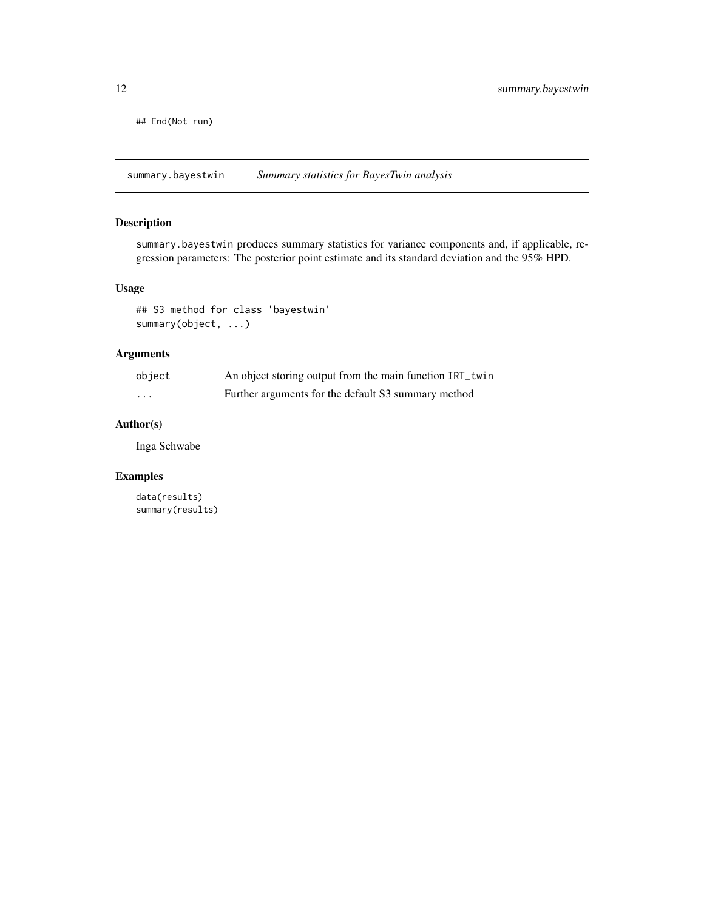<span id="page-11-0"></span>## End(Not run)

summary.bayestwin *Summary statistics for BayesTwin analysis*

# Description

summary.bayestwin produces summary statistics for variance components and, if applicable, regression parameters: The posterior point estimate and its standard deviation and the 95% HPD.

# Usage

## S3 method for class 'bayestwin' summary(object, ...)

# Arguments

| object                  | An object storing output from the main function IRT_twin |
|-------------------------|----------------------------------------------------------|
| $\cdot$ $\cdot$ $\cdot$ | Further arguments for the default S3 summary method      |

# Author(s)

Inga Schwabe

# Examples

data(results) summary(results)